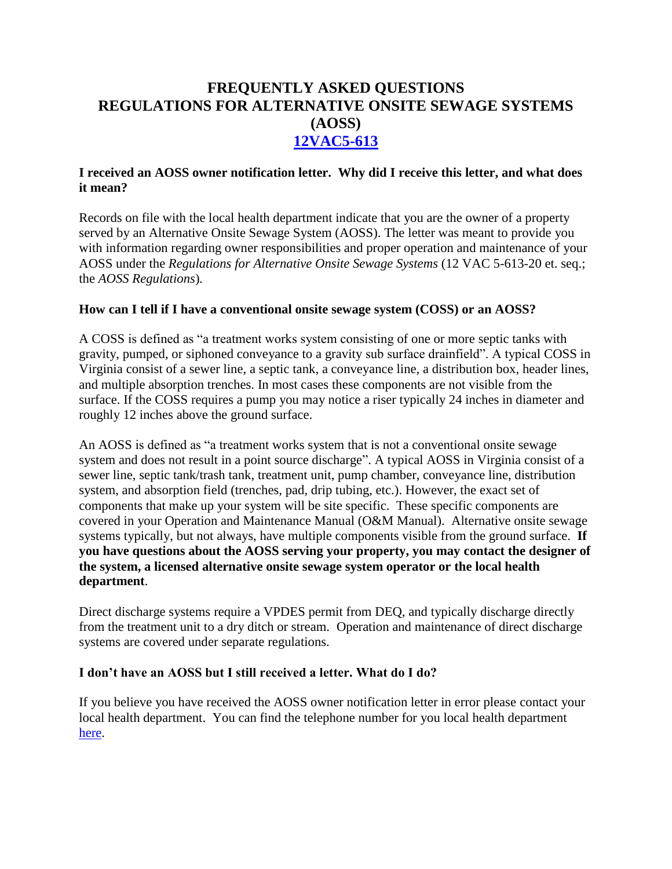# **FREQUENTLY ASKED QUESTIONS REGULATIONS FOR ALTERNATIVE ONSITE SEWAGE SYSTEMS (AOSS) [12VAC5-613](http://www.vdh.virginia.gov/EnvironmentalHealth/Onsite/regulations/)**

## **I received an AOSS owner notification letter. Why did I receive this letter, and what does it mean?**

Records on file with the local health department indicate that you are the owner of a property served by an Alternative Onsite Sewage System (AOSS). The letter was meant to provide you with information regarding owner responsibilities and proper operation and maintenance of your AOSS under the *Regulations for Alternative Onsite Sewage Systems* (12 VAC 5-613-20 et. seq.; the *AOSS Regulations*)*.*

## **How can I tell if I have a conventional onsite sewage system (COSS) or an AOSS?**

A COSS is defined as "a treatment works system consisting of one or more septic tanks with gravity, pumped, or siphoned conveyance to a gravity sub surface drainfield". A typical COSS in Virginia consist of a sewer line, a septic tank, a conveyance line, a distribution box, header lines, and multiple absorption trenches. In most cases these components are not visible from the surface. If the COSS requires a pump you may notice a riser typically 24 inches in diameter and roughly 12 inches above the ground surface.

An AOSS is defined as "a treatment works system that is not a conventional onsite sewage system and does not result in a point source discharge". A typical AOSS in Virginia consist of a sewer line, septic tank/trash tank, treatment unit, pump chamber, conveyance line, distribution system, and absorption field (trenches, pad, drip tubing, etc.). However, the exact set of components that make up your system will be site specific. These specific components are covered in your Operation and Maintenance Manual (O&M Manual). Alternative onsite sewage systems typically, but not always, have multiple components visible from the ground surface. **If you have questions about the AOSS serving your property, you may contact the designer of the system, a licensed alternative onsite sewage system operator or the local health department**.

Direct discharge systems require a VPDES permit from DEQ, and typically discharge directly from the treatment unit to a dry ditch or stream. Operation and maintenance of direct discharge systems are covered under separate regulations.

#### **I don't have an AOSS but I still received a letter. What do I do?**

If you believe you have received the AOSS owner notification letter in error please contact your local health department. You can find the telephone number for you local health department [here.](http://www.vdh.virginia.gov/LHD/index.htm)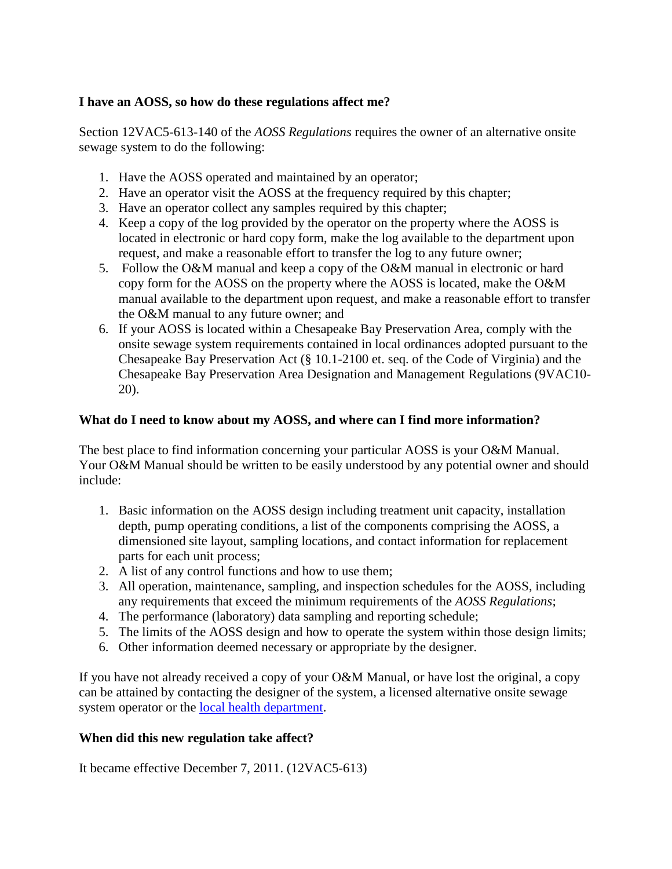## **I have an AOSS, so how do these regulations affect me?**

Section 12VAC5-613-140 of the *AOSS Regulations* requires the owner of an alternative onsite sewage system to do the following:

- 1. Have the AOSS operated and maintained by an operator;
- 2. Have an operator visit the AOSS at the frequency required by this chapter;
- 3. Have an operator collect any samples required by this chapter;
- 4. Keep a copy of the log provided by the operator on the property where the AOSS is located in electronic or hard copy form, make the log available to the department upon request, and make a reasonable effort to transfer the log to any future owner;
- 5. Follow the O&M manual and keep a copy of the O&M manual in electronic or hard copy form for the AOSS on the property where the AOSS is located, make the O&M manual available to the department upon request, and make a reasonable effort to transfer the O&M manual to any future owner; and
- 6. If your AOSS is located within a Chesapeake Bay Preservation Area, comply with the onsite sewage system requirements contained in local ordinances adopted pursuant to the Chesapeake Bay Preservation Act (§ 10.1-2100 et. seq. of the Code of Virginia) and the Chesapeake Bay Preservation Area Designation and Management Regulations (9VAC10- 20).

## **What do I need to know about my AOSS, and where can I find more information?**

The best place to find information concerning your particular AOSS is your O&M Manual. Your O&M Manual should be written to be easily understood by any potential owner and should include:

- 1. Basic information on the AOSS design including treatment unit capacity, installation depth, pump operating conditions, a list of the components comprising the AOSS, a dimensioned site layout, sampling locations, and contact information for replacement parts for each unit process;
- 2. A list of any control functions and how to use them;
- 3. All operation, maintenance, sampling, and inspection schedules for the AOSS, including any requirements that exceed the minimum requirements of the *AOSS Regulations*;
- 4. The performance (laboratory) data sampling and reporting schedule;
- 5. The limits of the AOSS design and how to operate the system within those design limits;
- 6. Other information deemed necessary or appropriate by the designer.

If you have not already received a copy of your O&M Manual, or have lost the original, a copy can be attained by contacting the designer of the system, a licensed alternative onsite sewage system operator or the [local health department.](https://www.vdh.virginia.gov/local-health-districts/)

#### **When did this new regulation take affect?**

It became effective December 7, 2011. (12VAC5-613)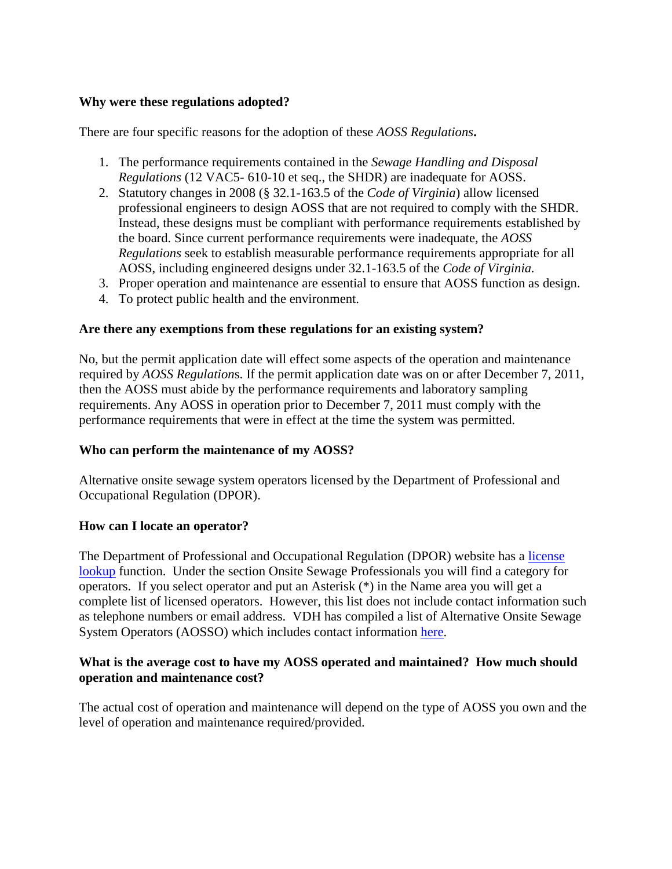## **Why were these regulations adopted?**

There are four specific reasons for the adoption of these *AOSS Regulations***.**

- 1. The performance requirements contained in the *Sewage Handling and Disposal Regulations* (12 VAC5- 610-10 et seq., the SHDR) are inadequate for AOSS.
- 2. Statutory changes in 2008 (§ 32.1-163.5 of the *Code of Virginia*) allow licensed professional engineers to design AOSS that are not required to comply with the SHDR. Instead, these designs must be compliant with performance requirements established by the board. Since current performance requirements were inadequate, the *AOSS Regulations* seek to establish measurable performance requirements appropriate for all AOSS, including engineered designs under 32.1-163.5 of the *Code of Virginia.*
- 3. Proper operation and maintenance are essential to ensure that AOSS function as design.
- 4. To protect public health and the environment.

#### **Are there any exemptions from these regulations for an existing system?**

No, but the permit application date will effect some aspects of the operation and maintenance required by *AOSS Regulation*s. If the permit application date was on or after December 7, 2011, then the AOSS must abide by the performance requirements and laboratory sampling requirements. Any AOSS in operation prior to December 7, 2011 must comply with the performance requirements that were in effect at the time the system was permitted.

#### **Who can perform the maintenance of my AOSS?**

Alternative onsite sewage system operators licensed by the Department of Professional and Occupational Regulation (DPOR).

#### **How can I locate an operator?**

The Department of Professional and Occupational Regulation (DPOR) website has a [license](http://www.dpor.virginia.gov/LicenseLookup/)  [lookup](http://www.dpor.virginia.gov/LicenseLookup/) function. Under the section Onsite Sewage Professionals you will find a category for operators. If you select operator and put an Asterisk (\*) in the Name area you will get a complete list of licensed operators. However, this list does not include contact information such as telephone numbers or email address. VDH has compiled a list of Alternative Onsite Sewage System Operators (AOSSO) which includes contact information [here.](https://www.vdh.virginia.gov/environmental-health/onsite-sewage-water-services-updated/septic-system-and-private-well-service-providers/)

## **What is the average cost to have my AOSS operated and maintained? How much should operation and maintenance cost?**

The actual cost of operation and maintenance will depend on the type of AOSS you own and the level of operation and maintenance required/provided.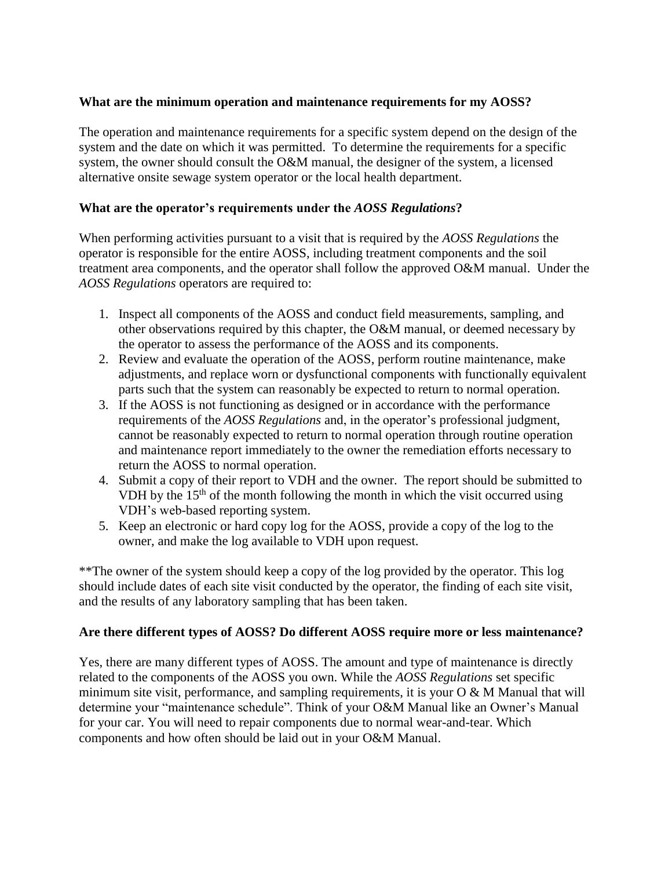## **What are the minimum operation and maintenance requirements for my AOSS?**

The operation and maintenance requirements for a specific system depend on the design of the system and the date on which it was permitted. To determine the requirements for a specific system, the owner should consult the O&M manual, the designer of the system, a licensed alternative onsite sewage system operator or the local health department.

## **What are the operator's requirements under the** *AOSS Regulations***?**

When performing activities pursuant to a visit that is required by the *AOSS Regulations* the operator is responsible for the entire AOSS, including treatment components and the soil treatment area components, and the operator shall follow the approved O&M manual. Under the *AOSS Regulations* operators are required to:

- 1. Inspect all components of the AOSS and conduct field measurements, sampling, and other observations required by this chapter, the O&M manual, or deemed necessary by the operator to assess the performance of the AOSS and its components.
- 2. Review and evaluate the operation of the AOSS, perform routine maintenance, make adjustments, and replace worn or dysfunctional components with functionally equivalent parts such that the system can reasonably be expected to return to normal operation.
- 3. If the AOSS is not functioning as designed or in accordance with the performance requirements of the *AOSS Regulations* and, in the operator's professional judgment, cannot be reasonably expected to return to normal operation through routine operation and maintenance report immediately to the owner the remediation efforts necessary to return the AOSS to normal operation.
- 4. Submit a copy of their report to VDH and the owner. The report should be submitted to VDH by the  $15<sup>th</sup>$  of the month following the month in which the visit occurred using VDH's web-based reporting system.
- 5. Keep an electronic or hard copy log for the AOSS, provide a copy of the log to the owner, and make the log available to VDH upon request.

\*\*The owner of the system should keep a copy of the log provided by the operator. This log should include dates of each site visit conducted by the operator, the finding of each site visit, and the results of any laboratory sampling that has been taken.

## **Are there different types of AOSS? Do different AOSS require more or less maintenance?**

Yes, there are many different types of AOSS. The amount and type of maintenance is directly related to the components of the AOSS you own. While the *AOSS Regulations* set specific minimum site visit, performance, and sampling requirements, it is your  $O & M$  Manual that will determine your "maintenance schedule". Think of your O&M Manual like an Owner's Manual for your car. You will need to repair components due to normal wear-and-tear. Which components and how often should be laid out in your O&M Manual.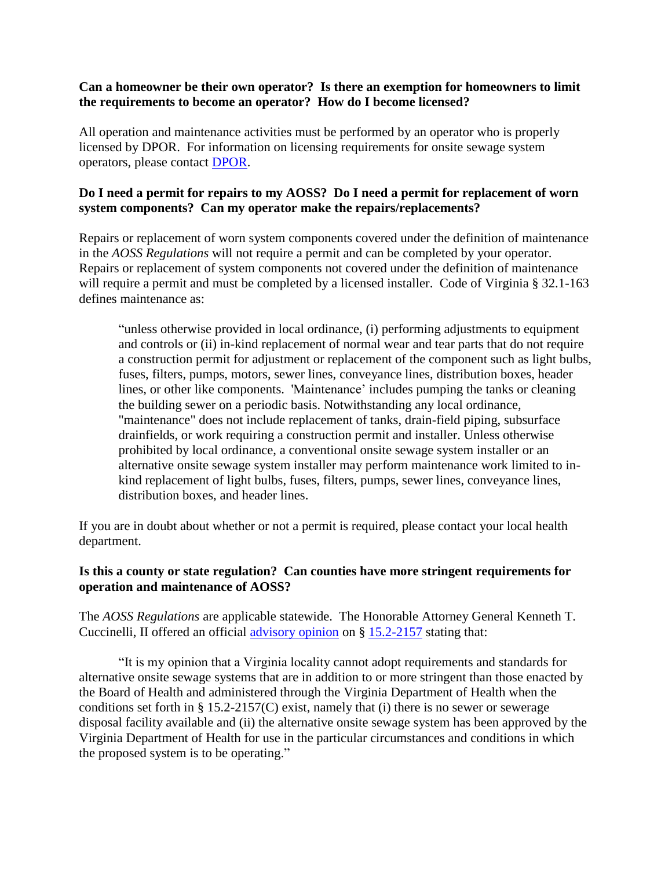#### **Can a homeowner be their own operator? Is there an exemption for homeowners to limit the requirements to become an operator? How do I become licensed?**

All operation and maintenance activities must be performed by an operator who is properly licensed by DPOR. For information on licensing requirements for onsite sewage system operators, please contact [DPOR.](https://www.dpor.virginia.gov/Boards/WWWOOSSP)

## **Do I need a permit for repairs to my AOSS? Do I need a permit for replacement of worn system components? Can my operator make the repairs/replacements?**

Repairs or replacement of worn system components covered under the definition of maintenance in the *AOSS Regulations* will not require a permit and can be completed by your operator. Repairs or replacement of system components not covered under the definition of maintenance will require a permit and must be completed by a licensed installer. Code of Virginia § 32.1-163 defines maintenance as:

"unless otherwise provided in local ordinance, (i) performing adjustments to equipment and controls or (ii) in-kind replacement of normal wear and tear parts that do not require a construction permit for adjustment or replacement of the component such as light bulbs, fuses, filters, pumps, motors, sewer lines, conveyance lines, distribution boxes, header lines, or other like components. 'Maintenance' includes pumping the tanks or cleaning the building sewer on a periodic basis. Notwithstanding any local ordinance, "maintenance" does not include replacement of tanks, drain-field piping, subsurface drainfields, or work requiring a construction permit and installer. Unless otherwise prohibited by local ordinance, a conventional onsite sewage system installer or an alternative onsite sewage system installer may perform maintenance work limited to inkind replacement of light bulbs, fuses, filters, pumps, sewer lines, conveyance lines, distribution boxes, and header lines.

If you are in doubt about whether or not a permit is required, please contact your local health department.

## **Is this a county or state regulation? Can counties have more stringent requirements for operation and maintenance of AOSS?**

The *AOSS Regulations* are applicable statewide. The Honorable Attorney General Kenneth T. Cuccinelli, II offered an official [advisory opinion](http://www.oag.state.va.us/Opinions%20and%20Legal%20Resources/Opinions/2012opns/12-045%20Martin.pdf) on § [15.2-2157](https://leg1.state.va.us/cgi-bin/legp504.exe?000+cod+15.2-2157) stating that:

"It is my opinion that a Virginia locality cannot adopt requirements and standards for alternative onsite sewage systems that are in addition to or more stringent than those enacted by the Board of Health and administered through the Virginia Department of Health when the conditions set forth in  $\S 15.2-2157(C)$  exist, namely that (i) there is no sewer or sewerage disposal facility available and (ii) the alternative onsite sewage system has been approved by the Virginia Department of Health for use in the particular circumstances and conditions in which the proposed system is to be operating."